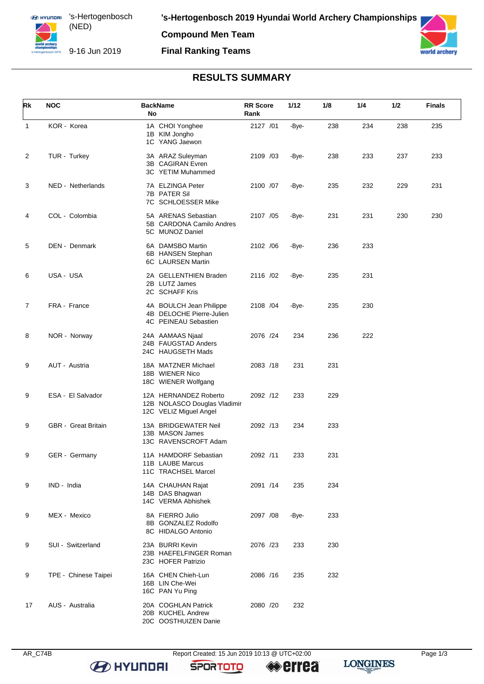**Compound Men Team**

### **Final Ranking Teams**



## **RESULTS SUMMARY**

| Rk             | <b>NOC</b>                 | <b>BackName</b><br>No                                                           | <b>RR Score</b><br>Rank | 1/12  | 1/8 | 1/4 | 1/2 | <b>Finals</b> |
|----------------|----------------------------|---------------------------------------------------------------------------------|-------------------------|-------|-----|-----|-----|---------------|
| 1              | KOR - Korea                | 1A CHOI Yonghee<br>1B KIM Jongho<br>1C YANG Jaewon                              | 2127 /01                | -Bye- | 238 | 234 | 238 | 235           |
| 2              | TUR - Turkey               | 3A ARAZ Suleyman<br>3B CAGIRAN Evren<br>3C YETIM Muhammed                       | 2109 /03                | -Bye- | 238 | 233 | 237 | 233           |
| 3              | NED - Netherlands          | 7A ELZINGA Peter<br>7B PATER Sil<br>7C SCHLOESSER Mike                          | 2100 /07                | -Bye- | 235 | 232 | 229 | 231           |
| 4              | COL - Colombia             | 5A ARENAS Sebastian<br>5B CARDONA Camilo Andres<br>5C MUNOZ Daniel              | 2107 / 05               | -Bye- | 231 | 231 | 230 | 230           |
| 5              | DEN - Denmark              | 6A DAMSBO Martin<br>6B HANSEN Stephan<br>6C LAURSEN Martin                      | 2102 /06                | -Bye- | 236 | 233 |     |               |
| 6              | USA - USA                  | 2A GELLENTHIEN Braden<br>2B LUTZ James<br>2C SCHAFF Kris                        | 2116 /02                | -Bye- | 235 | 231 |     |               |
| $\overline{7}$ | FRA - France               | 4A BOULCH Jean Philippe<br>4B DELOCHE Pierre-Julien<br>4C PEINEAU Sebastien     | 2108 /04                | -Bye- | 235 | 230 |     |               |
| 8              | NOR - Norway               | 24A AAMAAS Njaal<br>24B FAUGSTAD Anders<br>24C HAUGSETH Mads                    | 2076 /24                | 234   | 236 | 222 |     |               |
| 9              | AUT - Austria              | 18A MATZNER Michael<br>18B WIENER Nico<br>18C WIENER Wolfgang                   | 2083 /18                | 231   | 231 |     |     |               |
| 9              | ESA - El Salvador          | 12A HERNANDEZ Roberto<br>12B NOLASCO Douglas Vladimir<br>12C VELIZ Miguel Angel | 2092 /12                | 233   | 229 |     |     |               |
| 9              | <b>GBR</b> - Great Britain | 13A BRIDGEWATER Neil<br>13B MASON James<br>13C RAVENSCROFT Adam                 | 2092 /13                | 234   | 233 |     |     |               |
| 9              | GER - Germany              | 11A HAMDORF Sebastian<br>11B LAUBE Marcus<br>11C TRACHSEL Marcel                | 2092 /11                | 233   | 231 |     |     |               |
| 9              | IND - India                | 14A CHAUHAN Rajat<br>14B DAS Bhagwan<br>14C VERMA Abhishek                      | 2091 /14                | 235   | 234 |     |     |               |
| 9              | MEX - Mexico               | 8A FIERRO Julio<br>8B GONZALEZ Rodolfo<br>8C HIDALGO Antonio                    | 2097 /08                | -Bye- | 233 |     |     |               |
| 9              | SUI - Switzerland          | 23A BURRI Kevin<br>23B HAEFELFINGER Roman<br>23C HOFER Patrizio                 | 2076 /23                | 233   | 230 |     |     |               |
| 9              | TPE - Chinese Taipei       | 16A CHEN Chieh-Lun<br>16B LIN Che-Wei<br>16C PAN Yu Ping                        | 2086 /16                | 235   | 232 |     |     |               |
| 17             | AUS - Australia            | 20A COGHLAN Patrick<br>20B KUCHEL Andrew<br>20C OOSTHUIZEN Danie                | 2080 /20                | 232   |     |     |     |               |

**B** HYUNDAI

AR\_C74B Report Created: 15 Jun 2019 10:13 @ UTC+02:00

**SPORTOTO** 

**errea** 

**LONGINES**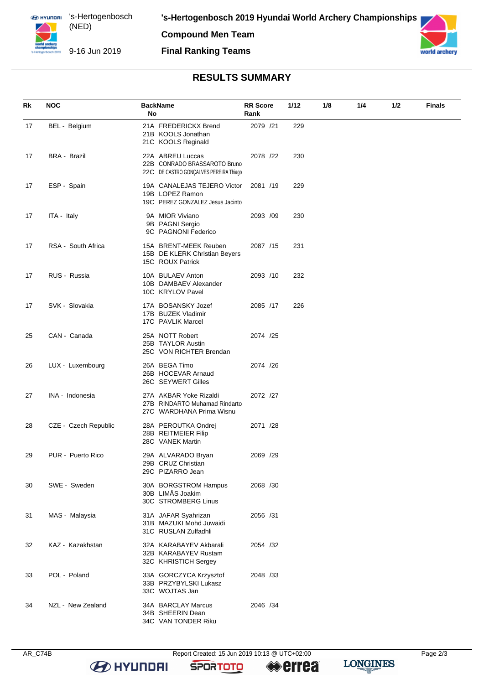**Compound Men Team**

### **Final Ranking Teams**



# **RESULTS SUMMARY**

| Rk | <b>NOC</b>           | <b>BackName</b><br>No                                                                      | <b>RR</b> Score<br>Rank | 1/12 | 1/8 | 1/4 | 1/2 | <b>Finals</b> |
|----|----------------------|--------------------------------------------------------------------------------------------|-------------------------|------|-----|-----|-----|---------------|
| 17 | BEL - Belgium        | 21A FREDERICKX Brend<br>21B KOOLS Jonathan<br>21C KOOLS Reginald                           | 2079 /21                | 229  |     |     |     |               |
| 17 | <b>BRA - Brazil</b>  | 22A ABREU Luccas<br>22B CONRADO BRASSAROTO Bruno<br>22C DE CASTRO GONÇALVES PEREIRA Thiago | 2078 /22                | 230  |     |     |     |               |
| 17 | ESP - Spain          | 19A CANALEJAS TEJERO Victor<br>19B LOPEZ Ramon<br>19C PEREZ GONZALEZ Jesus Jacinto         | 2081 /19                | 229  |     |     |     |               |
| 17 | ITA - Italy          | 9A MIOR Viviano<br>9B PAGNI Sergio<br>9C PAGNONI Federico                                  | 2093 /09                | 230  |     |     |     |               |
| 17 | RSA - South Africa   | 15A BRENT-MEEK Reuben<br>15B DE KLERK Christian Beyers<br>15C ROUX Patrick                 | 2087 /15                | 231  |     |     |     |               |
| 17 | RUS - Russia         | 10A BULAEV Anton<br>10B DAMBAEV Alexander<br>10C KRYLOV Pavel                              | 2093 /10                | 232  |     |     |     |               |
| 17 | SVK - Slovakia       | 17A BOSANSKY Jozef<br>17B BUZEK Vladimir<br>17C PAVLIK Marcel                              | 2085 /17                | 226  |     |     |     |               |
| 25 | CAN - Canada         | 25A NOTT Robert<br>25B TAYLOR Austin<br>25C VON RICHTER Brendan                            | 2074 /25                |      |     |     |     |               |
| 26 | LUX - Luxembourg     | 26A BEGA Timo<br>26B HOCEVAR Arnaud<br>26C SEYWERT Gilles                                  | 2074 /26                |      |     |     |     |               |
| 27 | INA - Indonesia      | 27A AKBAR Yoke Rizaldi<br>27B RINDARTO Muhamad Rindarto<br>27C WARDHANA Prima Wisnu        | 2072 /27                |      |     |     |     |               |
| 28 | CZE - Czech Republic | 28A PEROUTKA Ondrej<br>28B REITMEIER Filip<br>28C VANEK Martin                             | 2071 /28                |      |     |     |     |               |
| 29 | PUR - Puerto Rico    | 29A ALVARADO Bryan<br>29B CRUZ Christian<br>29C PIZARRO Jean                               | 2069 /29                |      |     |     |     |               |
| 30 | SWE - Sweden         | 30A BORGSTROM Hampus<br>30B LIMÅS Joakim<br>30C STROMBERG Linus                            | 2068 /30                |      |     |     |     |               |
| 31 | MAS - Malaysia       | 31A JAFAR Syahrizan<br>31B MAZUKI Mohd Juwaidi<br>31C RUSLAN Zulfadhli                     | 2056 /31                |      |     |     |     |               |
| 32 | KAZ - Kazakhstan     | 32A KARABAYEV Akbarali<br>32B KARABAYEV Rustam<br>32C KHRISTICH Sergey                     | 2054 /32                |      |     |     |     |               |
| 33 | POL - Poland         | 33A GORCZYCA Krzysztof<br>33B PRZYBYLSKI Lukasz<br>33C WOJTAS Jan                          | 2048 / 33               |      |     |     |     |               |
| 34 | NZL - New Zealand    | 34A BARCLAY Marcus<br>34B SHEERIN Dean<br>34C VAN TONDER Riku                              | 2046 /34                |      |     |     |     |               |

AR\_C74B Report Created: 15 Jun 2019 10:13 @ UTC+02:00

**SPORTOTO** 

**errea**